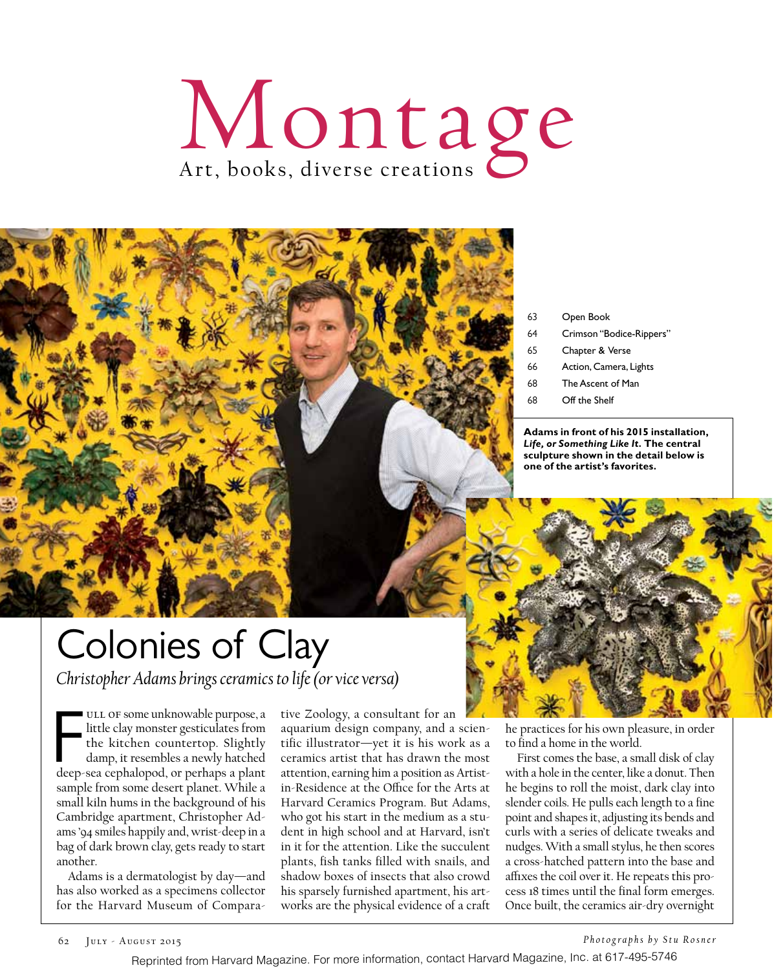# Montage



- 63 Open Book
- 64 Crimson "Bodice-Rippers"
- 65 Chapter & Verse
- 66 Action, Camera, Lights
- 68 The Ascent of Man
- 68 Off the Shelf

**Adams in front of his 2015 installation,**  *Life, or Something Like It.* **The central sculpture shown in the detail below is one of the artist's favorites.**

## Colonies of Clay

*Christopher Adams brings ceramics to life (or vice versa)*

ULL OF some unknowable purpose, a<br>little clay monster gesticulates from<br>the kitchen countertop. Slightly<br>damp, it resembles a newly hatched<br>deep-sea cephalopod, or perhaps a plant ULL OF some unknowable purpose, a little clay monster gesticulates from the kitchen countertop. Slightly damp, it resembles a newly hatched sample from some desert planet. While a small kiln hums in the background of his Cambridge apartment, Christopher Adams '94 smiles happily and, wrist-deep in a bag of dark brown clay, gets ready to start another.

Adams is a dermatologist by day—and has also worked as a specimens collector for the Harvard Museum of Comparative Zoology, a consultant for an aquarium design company, and a scientific illustrator—yet it is his work as a ceramics artist that has drawn the most attention, earning him a position as Artistin-Residence at the Office for the Arts at Harvard Ceramics Program. But Adams, who got his start in the medium as a student in high school and at Harvard, isn't in it for the attention. Like the succulent plants, fish tanks filled with snails, and shadow boxes of insects that also crowd his sparsely furnished apartment, his artworks are the physical evidence of a craft

he practices for his own pleasure, in order to find a home in the world.

First comes the base, a small disk of clay with a hole in the center, like a donut. Then he begins to roll the moist, dark clay into slender coils. He pulls each length to a fine point and shapes it, adjusting its bends and curls with a series of delicate tweaks and nudges. With a small stylus, he then scores a cross-hatched pattern into the base and affixes the coil over it. He repeats this process 18 times until the final form emerges. Once built, the ceramics air-dry overnight

*Photographs by Stu Rosner*

Reprinted from Harvard Magazine. For more information, contact Harvard Magazine, Inc. at 617-495-5746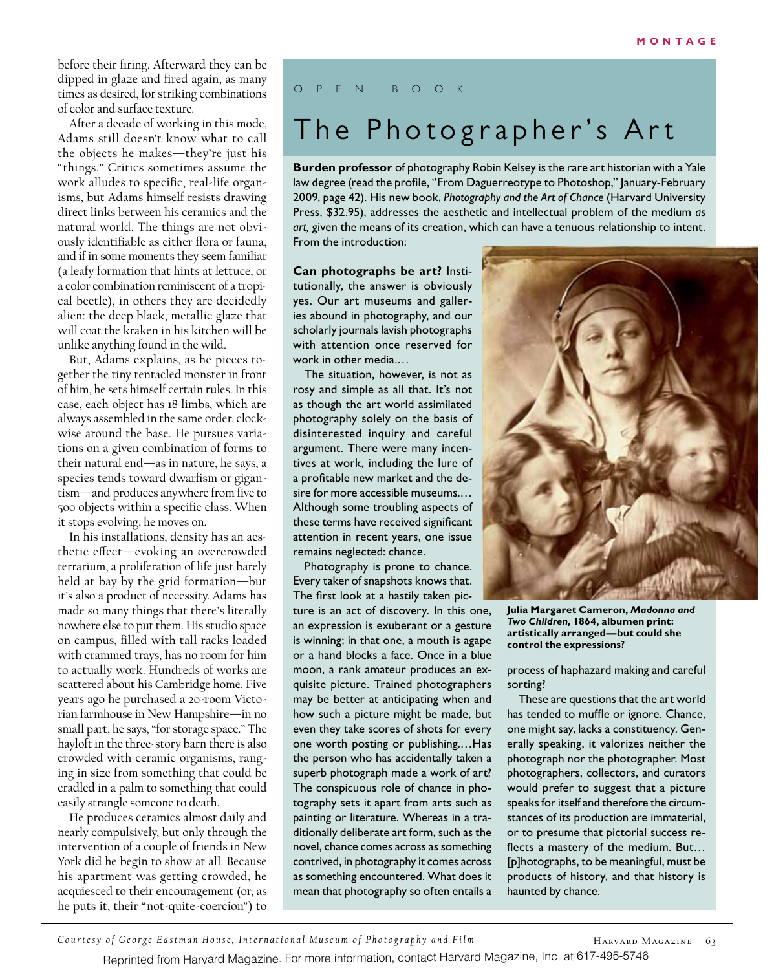before their firing. Afterward they can be dipped in glaze and fired again, as many times as desired, for striking combinations of color and surface texture.

After a decade of working in this mode, Adams still doesn't know what to call the objects he makes—they're just his "things." Critics sometimes assume the work alludes to specific, real-life organisms, but Adams himself resists drawing direct links between his ceramics and the natural world. The things are not obviously identifiable as either flora or fauna, and if in some moments they seem familiar (a leafy formation that hints at lettuce, or a color combination reminiscent of a tropical beetle), in others they are decidedly alien: the deep black, metallic glaze that will coat the kraken in his kitchen will be unlike anything found in the wild.

But, Adams explains, as he pieces together the tiny tentacled monster in front of him, he sets himself certain rules. In this case, each object has 18 limbs, which are always assembled in the same order, clockwise around the base. He pursues variations on a given combination of forms to their natural end—as in nature, he says, a species tends toward dwarfism or gigantism—and produces anywhere from five to 500 objects within a specific class. When it stops evolving, he moves on.

In his installations, density has an aesthetic efect—evoking an overcrowded terrarium, a proliferation of life just barely held at bay by the grid formation—but it's also a product of necessity. Adams has made so many things that there's literally nowhere else to put them. His studio space on campus, filled with tall racks loaded with crammed trays, has no room for him to actually work. Hundreds of works are scattered about his Cambridge home. Five years ago he purchased a 20-room Victorian farmhouse in New Hampshire—in no small part, he says, "for storage space." The hayloft in the three-story barn there is also crowded with ceramic organisms, ranging in size from something that could be cradled in a palm to something that could easily strangle someone to death.

He produces ceramics almost daily and nearly compulsively, but only through the intervention of a couple of friends in New York did he begin to show at all. Because his apartment was getting crowded, he acquiesced to their encouragement (or, as he puts it, their "not-quite-coercion") to

#### OPEN BOOK

### The Photographer's Art

**Burden professor** of photography Robin Kelsey is the rare art historian with a Yale law degree (read the profle, "From Daguerreotype to Photoshop," January-February 2009, page 42). His new book, *Photography and the Art of Chance* (Harvard University Press, \$32.95), addresses the aesthetic and intellectual problem of the medium *as art,* given the means of its creation, which can have a tenuous relationship to intent. From the introduction:

**Can photographs be art?** Institutionally, the answer is obviously yes. Our art museums and galleries abound in photography, and our scholarly journals lavish photographs with attention once reserved for work in other media.…

The situation, however, is not as rosy and simple as all that. It's not as though the art world assimilated photography solely on the basis of disinterested inquiry and careful argument. There were many incentives at work, including the lure of a proftable new market and the desire for more accessible museums.… Although some troubling aspects of these terms have received signifcant attention in recent years, one issue remains neglected: chance.

Photography is prone to chance. Every taker of snapshots knows that. The first look at a hastily taken picture is an act of discovery. In this one, an expression is exuberant or a gesture is winning; in that one, a mouth is agape or a hand blocks a face. Once in a blue moon, a rank amateur produces an exquisite picture. Trained photographers may be better at anticipating when and how such a picture might be made, but even they take scores of shots for every one worth posting or publishing.…Has the person who has accidentally taken a superb photograph made a work of art? The conspicuous role of chance in photography sets it apart from arts such as painting or literature. Whereas in a traditionally deliberate art form, such as the novel, chance comes across as something contrived, in photography it comes across as something encountered. What does it mean that photography so often entails a



**Julia Margaret Cameron,** *Madonna and Two Children,* **1864, albumen print: artistically arranged—but could she control the expressions?**

process of haphazard making and careful sorting?

These are questions that the art world has tended to muffle or ignore. Chance, one might say, lacks a constituency. Generally speaking, it valorizes neither the photograph nor the photographer. Most photographers, collectors, and curators would prefer to suggest that a picture speaks for itself and therefore the circumstances of its production are immaterial, or to presume that pictorial success reflects a mastery of the medium. But... [p]hotographs, to be meaningful, must be products of history, and that history is haunted by chance.

*Courtesy of George Eastman House, International Museum of Photography and Film* **HARVARD MAGAZINE** 63

Reprinted from Harvard Magazine. For more information, contact Harvard Magazine, Inc. at 617-495-5746